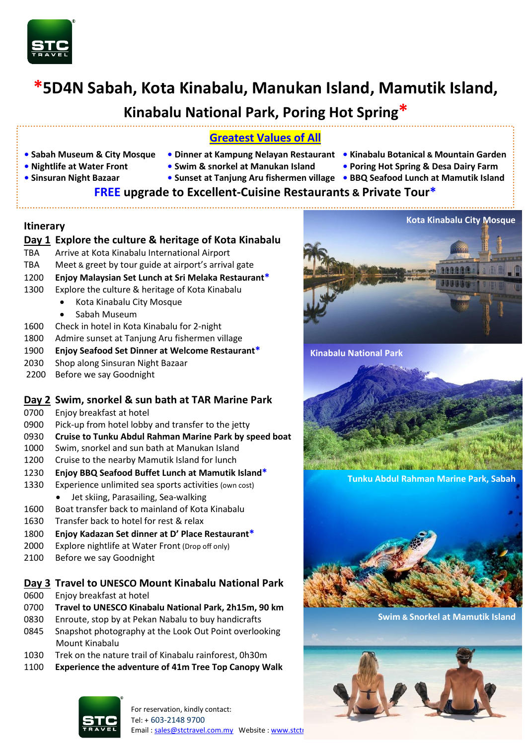

# **\*5D4N Sabah, Kota Kinabalu, Manukan Island, Mamutik Island,**

# **Kinabalu National Park, Poring Hot Spring\***

# **Greatest Values of All**

- **• Sabah Museum & City Mosque • Dinner at Kampung Nelayan Restaurant Kinabalu Botanical & Mountain Garden**
	-
- 
- 
- **Nightlife at Water Front Swim & snorkel at Manukan Island Poring Hot Spring & Desa Dairy Farm**
	-
- **Sinsuran Night Bazaar Sunset at Tanjung Aru fishermen village • BBQ Seafood Lunch at Mamutik Island**

# **FREE upgrade to Excellent-Cuisine Restaurants & Private Tour\***

#### **Itinerary**

### **Day 1 Explore the culture & heritage of Kota Kinabalu**

- TBA Arrive at Kota Kinabalu International Airport
- TBA Meet & greet by tour guide at airport's arrival gate
- 1200 **Enjoy Malaysian Set Lunch at Sri Melaka Restaurant\***
- 1300 Explore the culture & heritage of Kota Kinabalu
	- Kota Kinabalu City Mosque
		- Sabah Museum
- 1600 Check in hotel in Kota Kinabalu for 2-night
- 1800 Admire sunset at Tanjung Aru fishermen village
- 1900 **Enjoy Seafood Set Dinner at Welcome Restaurant\***
- 2030 Shop along Sinsuran Night Bazaar
- 2200 Before we say Goodnight

### **Day 2 Swim, snorkel & sun bath at TAR Marine Park**

- 0700 Enjoy breakfast at hotel
- 0900 Pick-up from hotel lobby and transfer to the jetty
- 0930 **Cruise to Tunku Abdul Rahman Marine Park by speed boat**
- 1000 Swim, snorkel and sun bath at Manukan Island
- 1200 Cruise to the nearby Mamutik Island for lunch
- 1230 **Enjoy BBQ Seafood Buffet Lunch at Mamutik Island\***
- 1330 Experience unlimited sea sports activities (own cost) Jet skiing, Parasailing, Sea-walking
- 1600 Boat transfer back to mainland of Kota Kinabalu
- 1630 Transfer back to hotel for rest & relax
- 1800 **Enjoy Kadazan Set dinner at D' Place Restaurant\***
- 2000 Explore nightlife at Water Front (Drop off only)
- 2100 Before we say Goodnight

## **Day 3 Travel to UNESCO Mount Kinabalu National Park**

- 0600 Enjoy breakfast at hotel
- 0700 **Travel to UNESCO Kinabalu National Park, 2h15m, 90 km**
- 0830 Enroute, stop by at Pekan Nabalu to buy handicrafts
- 0845 Snapshot photography at the Look Out Point overlooking Mount Kinabalu
- 1030 Trek on the nature trail of Kinabalu rainforest, 0h30m
- 1100 **Experience the adventure of 41m Tree Top Canopy Walk**







**Tunku Abdul Rahman Marine Park, Sabah**



**Swim & Snorkel at Mamutik Island**

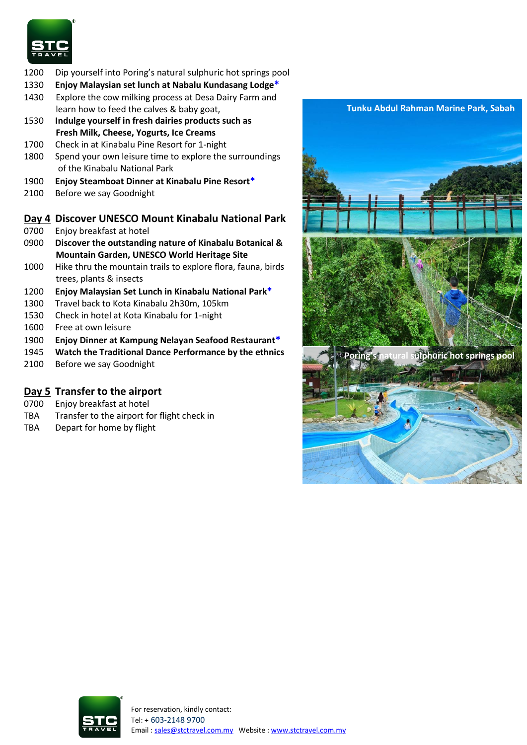

- 1200 Dip yourself into Poring's natural sulphuric hot springs pool
- 1330 **Enjoy Malaysian set lunch at Nabalu Kundasang Lodge\***
- 1430 Explore the cow milking process at Desa Dairy Farm and learn how to feed the calves & baby goat,
- 1530 **Indulge yourself in fresh dairies products such as Fresh Milk, Cheese, Yogurts, Ice Creams**
- 1700 Check in at Kinabalu Pine Resort for 1-night
- 1800 Spend your own leisure time to explore the surroundings of the Kinabalu National Park
- 1900 **Enjoy Steamboat Dinner at Kinabalu Pine Resort\***
- 2100 Before we say Goodnight

#### **Day 4 Discover UNESCO Mount Kinabalu National Park**

- 0700 Enjoy breakfast at hotel
- 0900 **Discover the outstanding nature of Kinabalu Botanical & Mountain Garden, UNESCO World Heritage Site**
- 1000 Hike thru the mountain trails to explore flora, fauna, birds trees, plants & insects
- 1200 **Enjoy Malaysian Set Lunch in Kinabalu National Park\***
- 1300 Travel back to Kota Kinabalu 2h30m, 105km
- 1530 Check in hotel at Kota Kinabalu for 1-night
- 1600 Free at own leisure
- 1900 **Enjoy Dinner at Kampung Nelayan Seafood Restaurant\***
- 1945 **Watch the Traditional Dance Performance by the ethnics**
- 2100 Before we say Goodnight

# **Day 5 Transfer to the airport**

- 0700 Enjoy breakfast at hotel
- TBA Transfer to the airport for flight check in
- TBA Depart for home by flight